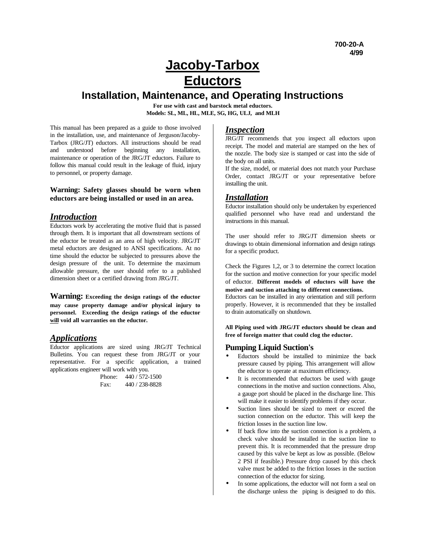# **Jacoby-Tarbox Eductors**

## **Installation, Maintenance, and Operating Instructions**

**For use with cast and barstock metal eductors. Models: SL, ML, HL, MLE, SG, HG, ULJ, and MLH**

This manual has been prepared as a guide to those involved in the installation, use, and maintenance of Jerguson/Jacoby-Tarbox (JRG/JT) eductors. All instructions should be read and understood before beginning any installation, maintenance or operation of the JRG/JT eductors. Failure to follow this manual could result in the leakage of fluid, injury to personnel, or property damage.

#### **Warning: Safety glasses should be worn when eductors are being installed or used in an area.**

### *Introduction*

Eductors work by accelerating the motive fluid that is passed through them. It is important that all downstream sections of the eductor be treated as an area of high velocity. JRG/JT metal eductors are designed to ANSI specifications. At no time should the eductor be subjected to pressures above the design pressure of the unit. To determine the maximum allowable pressure, the user should refer to a published dimension sheet or a certified drawing from JRG/JT.

**Warning: Exceeding the design ratings of the eductor may cause property damage and/or physical injury to personnel. Exceeding the design ratings of the eductor will void all warranties on the eductor.**

## *Applications*

Eductor applications are sized using JRG/JT Technical Bulletins. You can request these from JRG/JT or your representative. For a specific application, a trained applications engineer will work with you.

Phone: 440 / 572-1500 Fax: 440 / 238-8828

#### *Inspection*

JRG/JT recommends that you inspect all eductors upon receipt. The model and material are stamped on the hex of the nozzle. The body size is stamped or cast into the side of the body on all units.

If the size, model, or material does not match your Purchase Order, contact JRG/JT or your representative before installing the unit.

## *Installation*

Eductor installation should only be undertaken by experienced qualified personnel who have read and understand the instructions in this manual.

The user should refer to JRG/JT dimension sheets or drawings to obtain dimensional information and design ratings for a specific product.

Check the Figures 1,2, or 3 to determine the correct location for the suction and motive connection for your specific model of eductor. **Different models of eductors will have the motive and suction attaching to different connections.**

Eductors can be installed in any orientation and still perform properly. However, it is recommended that they be installed to drain automatically on shutdown.

**All Piping used with JRG/JT eductors should be clean and free of foreign matter that could clog the eductor.**

#### **Pumping Liquid Suction's**

- Eductors should be installed to minimize the back pressure caused by piping. This arrangement will allow the eductor to operate at maximum efficiency.
- It is recommended that eductors be used with gauge connections in the motive and suction connections. Also, a gauge port should be placed in the discharge line. This will make it easier to identify problems if they occur.
- Suction lines should be sized to meet or exceed the suction connection on the eductor. This will keep the friction losses in the suction line low.
- If back flow into the suction connection is a problem, a check valve should be installed in the suction line to prevent this. It is recommended that the pressure drop caused by this valve be kept as low as possible. (Below 2 PSI if feasible.) Pressure drop caused by this check valve must be added to the friction losses in the suction connection of the eductor for sizing.
- In some applications, the eductor will not form a seal on the discharge unless the piping is designed to do this.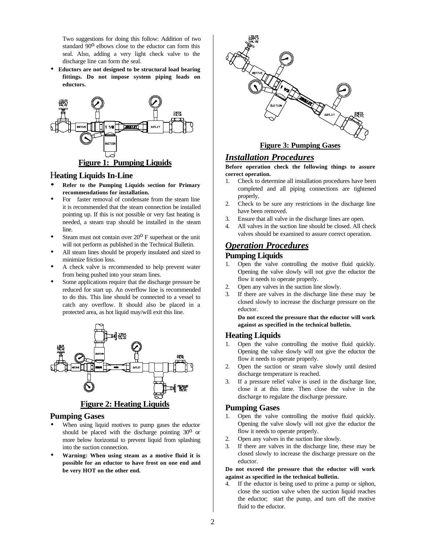Two suggestions for doing this follow: Addition of two standard  $90^{\circ}$  elbows close to the eductor can form this seal. Also, adding a very light check valve to the discharge line can form the seal.

• **Eductors are not designed to be structural load bearing fittings. Do not impose system piping loads on eductors.**



#### H**eating Liquids In-Line**

- **· Refer to the Pumping Liquids section for Primary recommendations for installation.**
- For faster removal of condensate from the steam line it is recommended that the steam connection be installed pointing up. If this is not possible or very fast heating is needed, a steam trap should be installed in the steam line.
- Steam must not contain over  $20^{\circ}$  F superheat or the unit will not perform as published in the Technical Bulletin.
- All steam lines should be properly insulated and sized to minimize friction loss.
- A check valve is recommended to help prevent water from being pushed into your steam lines.
- Some applications require that the discharge pressure be reduced for start up. An overflow line is recommended to do this. This line should be connected to a vessel to catch any overflow. It should also be placed in a protected area, as hot liquid may/will exit this line.



#### **Pumping Gases**

- When using liquid motives to pump gases the eductor should be placed with the discharge pointing  $30^{\circ}$  or more below horizontal to prevent liquid from splashing into the suction connection.
- **Warning: When using steam as a motive fluid it is possible for an eductor to have frost on one end and be very HOT on the other end.**



## *Installation Procedures*

#### **Before operation check the following things to assure correct operation.**

- 1. Check to determine all installation procedures have been completed and all piping connections are tightened properly.
- 2. Check to be sure any restrictions in the discharge line have been removed.
- 3. Ensure that all valve in the discharge lines are open.
- 4. All valves in the suction line should be closed. All check valves should be examined to assure correct operation.

## *Operation Procedures*

#### **Pumping Liquids**

- 1. Open the valve controlling the motive fluid quickly. Opening the valve slowly will not give the eductor the flow it needs to operate properly.
- 2. Open any valves in the suction line slowly.
- 3. If there are valves in the discharge line these may be closed slowly to increase the discharge pressure on the eductor.

**Do not exceed the pressure that the eductor will work against as specified in the technical bulletin.**

#### **Heating Liquids**

- 1. Open the valve controlling the motive fluid quickly. Opening the valve slowly will not give the eductor the flow it needs to operate properly.
- 2. Open the suction or steam valve slowly until desired discharge temperature is reached.
- 3. If a pressure relief valve is used in the discharge line, close it at this time. Then close the valve in the discharge to regulate the discharge pressure.

#### **Pumping Gases**

- 1. Open the valve controlling the motive fluid quickly. Opening the valve slowly will not give the eductor the flow it needs to operate properly.
- 2. Open any valves in the suction line slowly.
- 3. If there are valves in the discharge line, these may be closed slowly to increase the discharge pressure on the eductor.

#### **Do not exceed the pressure that the eductor will work against as specified in the technical bulletin.**

4. If the eductor is being used to prime a pump or siphon, close the suction valve when the suction liquid reaches the eductor; start the pump, and turn off the motive fluid to the eductor.